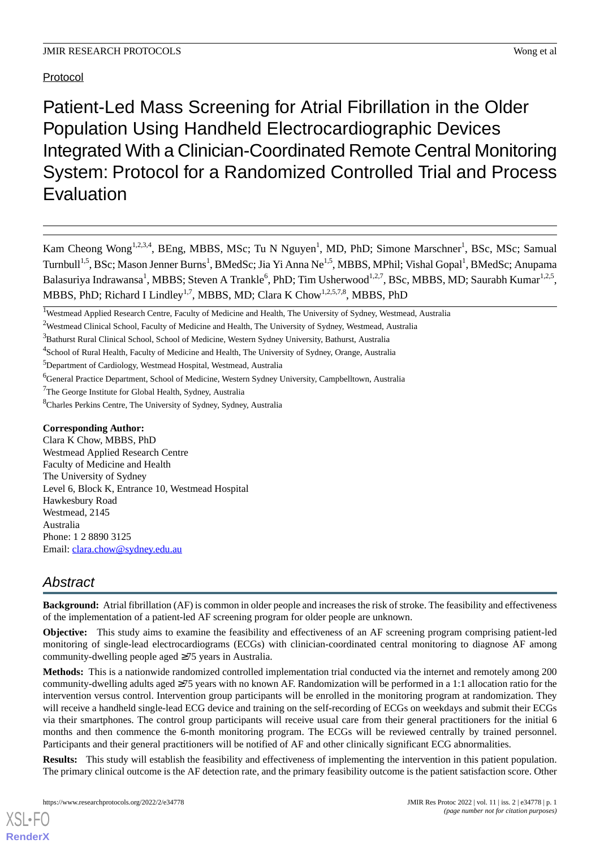## Protocol

Patient-Led Mass Screening for Atrial Fibrillation in the Older Population Using Handheld Electrocardiographic Devices Integrated With a Clinician-Coordinated Remote Central Monitoring System: Protocol for a Randomized Controlled Trial and Process Evaluation

Kam Cheong Wong<sup>1,2,3,4</sup>, BEng, MBBS, MSc; Tu N Nguyen<sup>1</sup>, MD, PhD; Simone Marschner<sup>1</sup>, BSc, MSc; Samual Turnbull<sup>1,5</sup>, BSc; Mason Jenner Burns<sup>1</sup>, BMedSc; Jia Yi Anna Ne<sup>1,5</sup>, MBBS, MPhil; Vishal Gopal<sup>1</sup>, BMedSc; Anupama Balasuriya Indrawansa $^1$ , MBBS; Steven A Trankle $^6$ , PhD; Tim Usherwood $^{1,2,7}$ , BSc, MBBS, MD; Saurabh Kumar $^{1,2,5}$ , MBBS, PhD; Richard I Lindley<sup>1,7</sup>, MBBS, MD; Clara K Chow<sup>1,2,5,7,8</sup>, MBBS, PhD

<sup>5</sup>Department of Cardiology, Westmead Hospital, Westmead, Australia

## **Corresponding Author:**

Clara K Chow, MBBS, PhD Westmead Applied Research Centre Faculty of Medicine and Health The University of Sydney Level 6, Block K, Entrance 10, Westmead Hospital Hawkesbury Road Westmead, 2145 Australia Phone: 1 2 8890 3125 Email: [clara.chow@sydney.edu.au](mailto:clara.chow@sydney.edu.au)

# *Abstract*

**Background:** Atrial fibrillation (AF) is common in older people and increases the risk of stroke. The feasibility and effectiveness of the implementation of a patient-led AF screening program for older people are unknown.

**Objective:** This study aims to examine the feasibility and effectiveness of an AF screening program comprising patient-led monitoring of single-lead electrocardiograms (ECGs) with clinician-coordinated central monitoring to diagnose AF among community-dwelling people aged ≥75 years in Australia.

**Methods:** This is a nationwide randomized controlled implementation trial conducted via the internet and remotely among 200 community-dwelling adults aged  $\geq$ 75 years with no known AF. Randomization will be performed in a 1:1 allocation ratio for the intervention versus control. Intervention group participants will be enrolled in the monitoring program at randomization. They will receive a handheld single-lead ECG device and training on the self-recording of ECGs on weekdays and submit their ECGs via their smartphones. The control group participants will receive usual care from their general practitioners for the initial 6 months and then commence the 6-month monitoring program. The ECGs will be reviewed centrally by trained personnel. Participants and their general practitioners will be notified of AF and other clinically significant ECG abnormalities.

**Results:** This study will establish the feasibility and effectiveness of implementing the intervention in this patient population. The primary clinical outcome is the AF detection rate, and the primary feasibility outcome is the patient satisfaction score. Other

<sup>&</sup>lt;sup>1</sup>Westmead Applied Research Centre, Faculty of Medicine and Health, The University of Sydney, Westmead, Australia

<sup>&</sup>lt;sup>2</sup>Westmead Clinical School, Faculty of Medicine and Health, The University of Sydney, Westmead, Australia

<sup>&</sup>lt;sup>3</sup>Bathurst Rural Clinical School, School of Medicine, Western Sydney University, Bathurst, Australia

<sup>&</sup>lt;sup>4</sup> School of Rural Health, Faculty of Medicine and Health, The University of Sydney, Orange, Australia

<sup>6</sup>General Practice Department, School of Medicine, Western Sydney University, Campbelltown, Australia

<sup>&</sup>lt;sup>7</sup>The George Institute for Global Health, Sydney, Australia

<sup>8</sup>Charles Perkins Centre, The University of Sydney, Sydney, Australia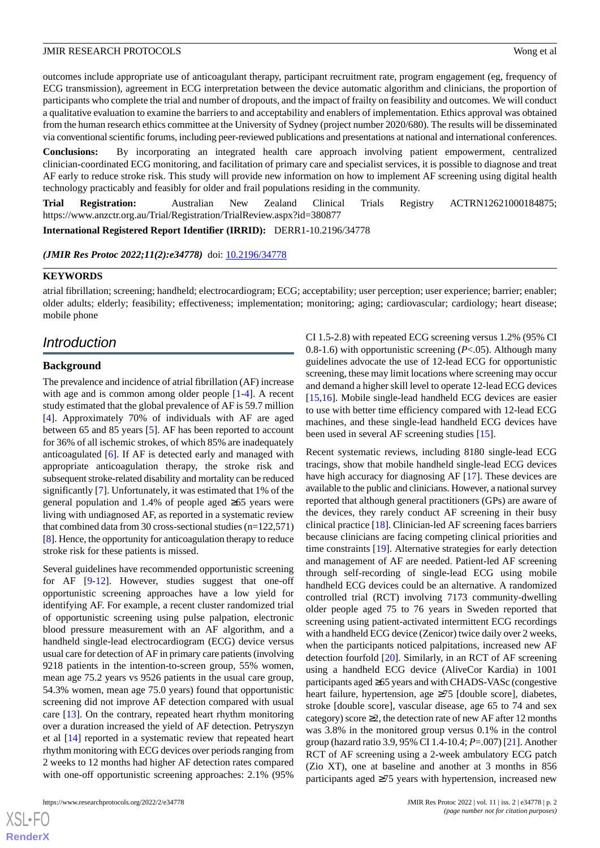outcomes include appropriate use of anticoagulant therapy, participant recruitment rate, program engagement (eg, frequency of ECG transmission), agreement in ECG interpretation between the device automatic algorithm and clinicians, the proportion of participants who complete the trial and number of dropouts, and the impact of frailty on feasibility and outcomes. We will conduct a qualitative evaluation to examine the barriers to and acceptability and enablers of implementation. Ethics approval was obtained from the human research ethics committee at the University of Sydney (project number 2020/680). The results will be disseminated via conventional scientific forums, including peer-reviewed publications and presentations at national and international conferences.

**Conclusions:** By incorporating an integrated health care approach involving patient empowerment, centralized clinician-coordinated ECG monitoring, and facilitation of primary care and specialist services, it is possible to diagnose and treat AF early to reduce stroke risk. This study will provide new information on how to implement AF screening using digital health technology practicably and feasibly for older and frail populations residing in the community.

**Trial Registration:** Australian New Zealand Clinical Trials Registry ACTRN12621000184875; https://www.anzctr.org.au/Trial/Registration/TrialReview.aspx?id=380877

**International Registered Report Identifier (IRRID):** DERR1-10.2196/34778

*(JMIR Res Protoc 2022;11(2):e34778)* doi:  $10.2196/34778$ 

### **KEYWORDS**

atrial fibrillation; screening; handheld; electrocardiogram; ECG; acceptability; user perception; user experience; barrier; enabler; older adults; elderly; feasibility; effectiveness; implementation; monitoring; aging; cardiovascular; cardiology; heart disease; mobile phone

## *Introduction*

### **Background**

The prevalence and incidence of atrial fibrillation (AF) increase with age and is common among older people [\[1](#page-11-0)-[4\]](#page-11-1). A recent study estimated that the global prevalence of AF is 59.7 million [[4\]](#page-11-1). Approximately 70% of individuals with AF are aged between 65 and 85 years [[5\]](#page-11-2). AF has been reported to account for 36% of all ischemic strokes, of which 85% are inadequately anticoagulated [\[6](#page-11-3)]. If AF is detected early and managed with appropriate anticoagulation therapy, the stroke risk and subsequent stroke-related disability and mortality can be reduced significantly [[7\]](#page-12-0). Unfortunately, it was estimated that 1% of the general population and 1.4% of people aged  $\geq 65$  years were living with undiagnosed AF, as reported in a systematic review that combined data from 30 cross-sectional studies (n=122,571) [[8\]](#page-12-1). Hence, the opportunity for anticoagulation therapy to reduce stroke risk for these patients is missed.

Several guidelines have recommended opportunistic screening for AF [[9-](#page-12-2)[12\]](#page-12-3). However, studies suggest that one-off opportunistic screening approaches have a low yield for identifying AF. For example, a recent cluster randomized trial of opportunistic screening using pulse palpation, electronic blood pressure measurement with an AF algorithm, and a handheld single-lead electrocardiogram (ECG) device versus usual care for detection of AF in primary care patients (involving 9218 patients in the intention-to-screen group, 55% women, mean age 75.2 years vs 9526 patients in the usual care group, 54.3% women, mean age 75.0 years) found that opportunistic screening did not improve AF detection compared with usual care [[13\]](#page-12-4). On the contrary, repeated heart rhythm monitoring over a duration increased the yield of AF detection. Petryszyn et al [\[14](#page-12-5)] reported in a systematic review that repeated heart rhythm monitoring with ECG devices over periods ranging from 2 weeks to 12 months had higher AF detection rates compared with one-off opportunistic screening approaches: 2.1% (95%

 $X$ SL•F $C$ **[RenderX](http://www.renderx.com/)** CI 1.5-2.8) with repeated ECG screening versus 1.2% (95% CI 0.8-1.6) with opportunistic screening (*P*<.05). Although many guidelines advocate the use of 12-lead ECG for opportunistic screening, these may limit locations where screening may occur and demand a higher skill level to operate 12-lead ECG devices [[15,](#page-12-6)[16\]](#page-12-7). Mobile single-lead handheld ECG devices are easier to use with better time efficiency compared with 12-lead ECG machines, and these single-lead handheld ECG devices have been used in several AF screening studies [\[15](#page-12-6)].

Recent systematic reviews, including 8180 single-lead ECG tracings, show that mobile handheld single-lead ECG devices have high accuracy for diagnosing AF [\[17](#page-12-8)]. These devices are available to the public and clinicians. However, a national survey reported that although general practitioners (GPs) are aware of the devices, they rarely conduct AF screening in their busy clinical practice [\[18](#page-12-9)]. Clinician-led AF screening faces barriers because clinicians are facing competing clinical priorities and time constraints [\[19](#page-12-10)]. Alternative strategies for early detection and management of AF are needed. Patient-led AF screening through self-recording of single-lead ECG using mobile handheld ECG devices could be an alternative. A randomized controlled trial (RCT) involving 7173 community-dwelling older people aged 75 to 76 years in Sweden reported that screening using patient-activated intermittent ECG recordings with a handheld ECG device (Zenicor) twice daily over 2 weeks, when the participants noticed palpitations, increased new AF detection fourfold [\[20](#page-12-11)]. Similarly, in an RCT of AF screening using a handheld ECG device (AliveCor Kardia) in 1001 participants aged ≥65 years and with CHADS-VASc (congestive heart failure, hypertension, age ≥75 [double score], diabetes, stroke [double score], vascular disease, age 65 to 74 and sex category) score  $\geq 2$ , the detection rate of new AF after 12 months was 3.8% in the monitored group versus 0.1% in the control group (hazard ratio 3.9, 95% CI 1.4-10.4; *P*=.007) [\[21\]](#page-12-12). Another RCT of AF screening using a 2-week ambulatory ECG patch (Zio XT), one at baseline and another at 3 months in 856 participants aged ≥75 years with hypertension, increased new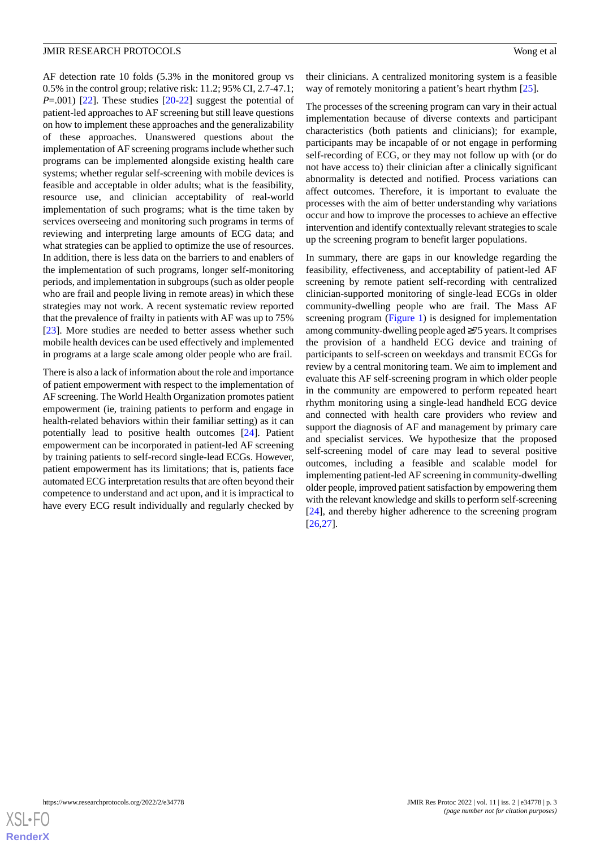AF detection rate 10 folds (5.3% in the monitored group vs 0.5% in the control group; relative risk: 11.2; 95% CI, 2.7-47.1; *P*=.001) [\[22](#page-12-13)]. These studies [\[20](#page-12-11)-[22\]](#page-12-13) suggest the potential of patient-led approaches to AF screening but still leave questions on how to implement these approaches and the generalizability of these approaches. Unanswered questions about the implementation of AF screening programs include whether such programs can be implemented alongside existing health care systems; whether regular self-screening with mobile devices is feasible and acceptable in older adults; what is the feasibility, resource use, and clinician acceptability of real-world implementation of such programs; what is the time taken by services overseeing and monitoring such programs in terms of reviewing and interpreting large amounts of ECG data; and what strategies can be applied to optimize the use of resources. In addition, there is less data on the barriers to and enablers of the implementation of such programs, longer self-monitoring periods, and implementation in subgroups (such as older people who are frail and people living in remote areas) in which these strategies may not work. A recent systematic review reported that the prevalence of frailty in patients with AF was up to 75% [[23\]](#page-12-14). More studies are needed to better assess whether such mobile health devices can be used effectively and implemented in programs at a large scale among older people who are frail.

There is also a lack of information about the role and importance of patient empowerment with respect to the implementation of AF screening. The World Health Organization promotes patient empowerment (ie, training patients to perform and engage in health-related behaviors within their familiar setting) as it can potentially lead to positive health outcomes [\[24](#page-12-15)]. Patient empowerment can be incorporated in patient-led AF screening by training patients to self-record single-lead ECGs. However, patient empowerment has its limitations; that is, patients face automated ECG interpretation results that are often beyond their competence to understand and act upon, and it is impractical to have every ECG result individually and regularly checked by

their clinicians. A centralized monitoring system is a feasible way of remotely monitoring a patient's heart rhythm [\[25](#page-12-16)].

The processes of the screening program can vary in their actual implementation because of diverse contexts and participant characteristics (both patients and clinicians); for example, participants may be incapable of or not engage in performing self-recording of ECG, or they may not follow up with (or do not have access to) their clinician after a clinically significant abnormality is detected and notified. Process variations can affect outcomes. Therefore, it is important to evaluate the processes with the aim of better understanding why variations occur and how to improve the processes to achieve an effective intervention and identify contextually relevant strategies to scale up the screening program to benefit larger populations.

In summary, there are gaps in our knowledge regarding the feasibility, effectiveness, and acceptability of patient-led AF screening by remote patient self-recording with centralized clinician-supported monitoring of single-lead ECGs in older community-dwelling people who are frail. The Mass AF screening program ([Figure 1\)](#page-3-0) is designed for implementation among community-dwelling people aged ≥75 years. It comprises the provision of a handheld ECG device and training of participants to self-screen on weekdays and transmit ECGs for review by a central monitoring team. We aim to implement and evaluate this AF self-screening program in which older people in the community are empowered to perform repeated heart rhythm monitoring using a single-lead handheld ECG device and connected with health care providers who review and support the diagnosis of AF and management by primary care and specialist services. We hypothesize that the proposed self-screening model of care may lead to several positive outcomes, including a feasible and scalable model for implementing patient-led AF screening in community-dwelling older people, improved patient satisfaction by empowering them with the relevant knowledge and skills to perform self-screening [[24\]](#page-12-15), and thereby higher adherence to the screening program [[26,](#page-13-0)[27\]](#page-13-1).

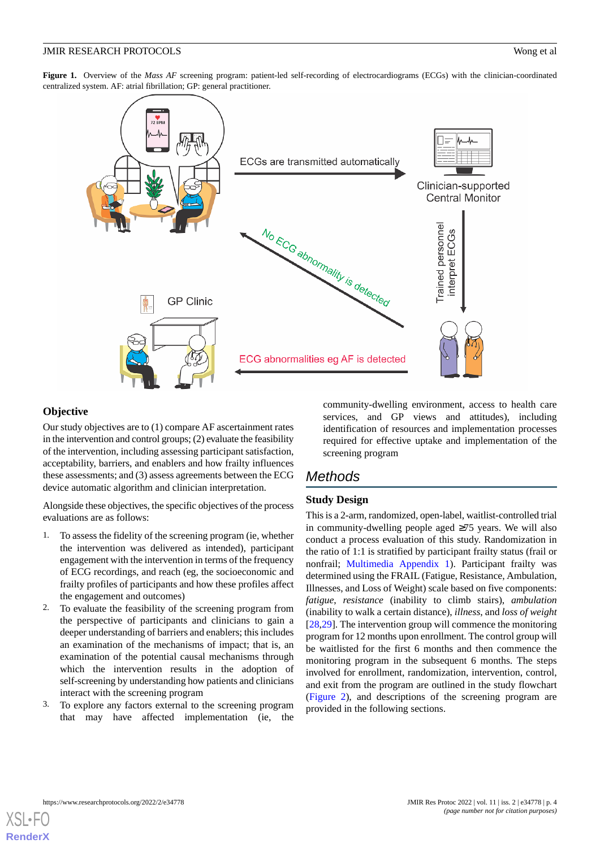<span id="page-3-0"></span>Figure 1. Overview of the *Mass AF* screening program: patient-led self-recording of electrocardiograms (ECGs) with the clinician-coordinated centralized system. AF: atrial fibrillation; GP: general practitioner.



## **Objective**

Our study objectives are to (1) compare AF ascertainment rates in the intervention and control groups; (2) evaluate the feasibility of the intervention, including assessing participant satisfaction, acceptability, barriers, and enablers and how frailty influences these assessments; and (3) assess agreements between the ECG device automatic algorithm and clinician interpretation.

Alongside these objectives, the specific objectives of the process evaluations are as follows:

- 1. To assess the fidelity of the screening program (ie, whether the intervention was delivered as intended), participant engagement with the intervention in terms of the frequency of ECG recordings, and reach (eg, the socioeconomic and frailty profiles of participants and how these profiles affect the engagement and outcomes)
- 2. To evaluate the feasibility of the screening program from the perspective of participants and clinicians to gain a deeper understanding of barriers and enablers; this includes an examination of the mechanisms of impact; that is, an examination of the potential causal mechanisms through which the intervention results in the adoption of self-screening by understanding how patients and clinicians interact with the screening program
- 3. To explore any factors external to the screening program that may have affected implementation (ie, the

community-dwelling environment, access to health care services, and GP views and attitudes), including identification of resources and implementation processes required for effective uptake and implementation of the screening program

## *Methods*

## **Study Design**

This is a 2-arm, randomized, open-label, waitlist-controlled trial in community-dwelling people aged ≥75 years. We will also conduct a process evaluation of this study. Randomization in the ratio of 1:1 is stratified by participant frailty status (frail or nonfrail; [Multimedia Appendix 1](#page-11-4)). Participant frailty was determined using the FRAIL (Fatigue, Resistance, Ambulation, Illnesses, and Loss of Weight) scale based on five components: *fatigue*, *resistance* (inability to climb stairs), *ambulation* (inability to walk a certain distance), *illness*, and *loss of weight* [[28,](#page-13-2)[29\]](#page-13-3). The intervention group will commence the monitoring program for 12 months upon enrollment. The control group will be waitlisted for the first 6 months and then commence the monitoring program in the subsequent 6 months. The steps involved for enrollment, randomization, intervention, control, and exit from the program are outlined in the study flowchart ([Figure 2](#page-4-0)), and descriptions of the screening program are provided in the following sections.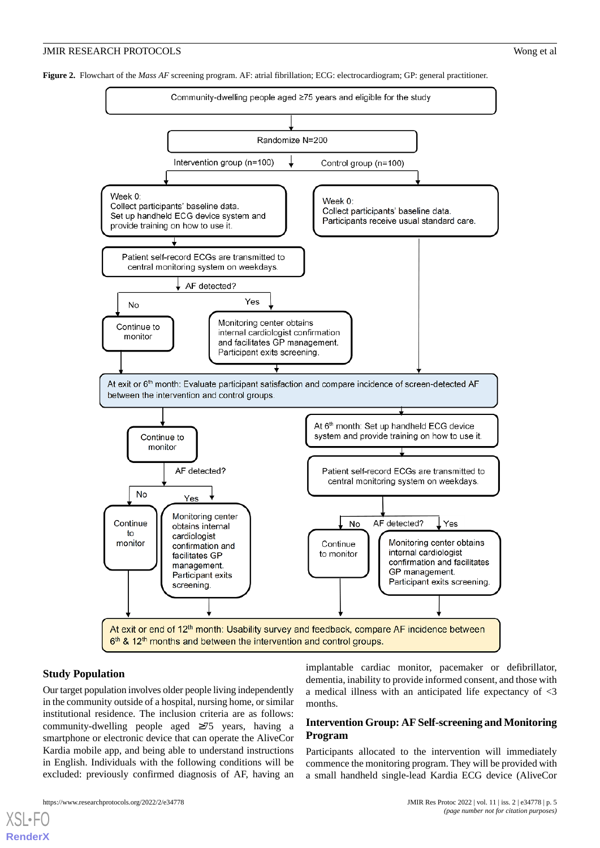<span id="page-4-0"></span>**Figure 2.** Flowchart of the *Mass AF* screening program. AF: atrial fibrillation; ECG: electrocardiogram; GP: general practitioner.



## **Study Population**

[XSL](http://www.w3.org/Style/XSL)•FO **[RenderX](http://www.renderx.com/)**

Our target population involves older people living independently in the community outside of a hospital, nursing home, or similar institutional residence. The inclusion criteria are as follows: community-dwelling people aged ≥75 years, having a smartphone or electronic device that can operate the AliveCor Kardia mobile app, and being able to understand instructions in English. Individuals with the following conditions will be excluded: previously confirmed diagnosis of AF, having an implantable cardiac monitor, pacemaker or defibrillator, dementia, inability to provide informed consent, and those with a medical illness with an anticipated life expectancy of <3 months.

## **Intervention Group: AF Self-screening and Monitoring Program**

Participants allocated to the intervention will immediately commence the monitoring program. They will be provided with a small handheld single-lead Kardia ECG device (AliveCor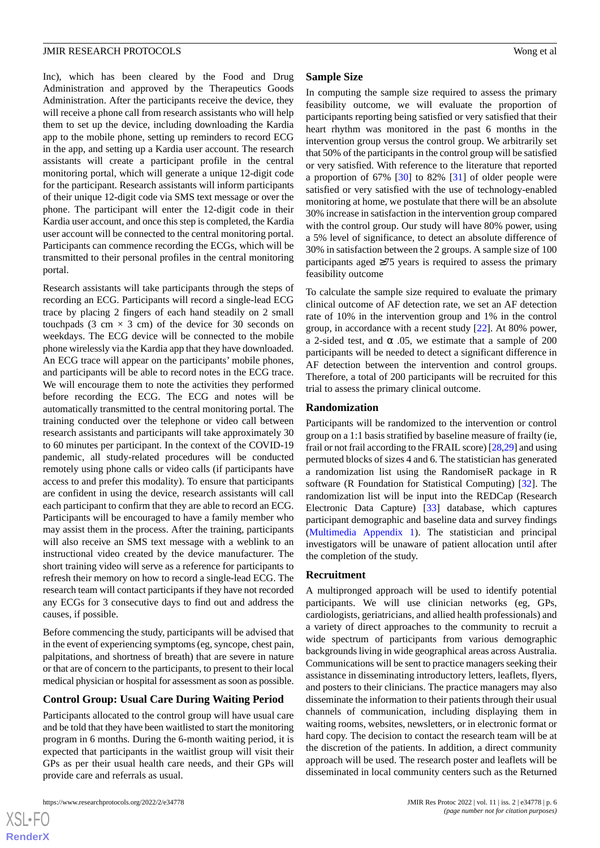Inc), which has been cleared by the Food and Drug Administration and approved by the Therapeutics Goods Administration. After the participants receive the device, they will receive a phone call from research assistants who will help them to set up the device, including downloading the Kardia app to the mobile phone, setting up reminders to record ECG in the app, and setting up a Kardia user account. The research assistants will create a participant profile in the central monitoring portal, which will generate a unique 12-digit code for the participant. Research assistants will inform participants of their unique 12-digit code via SMS text message or over the phone. The participant will enter the 12-digit code in their Kardia user account, and once this step is completed, the Kardia user account will be connected to the central monitoring portal. Participants can commence recording the ECGs, which will be transmitted to their personal profiles in the central monitoring portal.

Research assistants will take participants through the steps of recording an ECG. Participants will record a single-lead ECG trace by placing 2 fingers of each hand steadily on 2 small touchpads (3 cm  $\times$  3 cm) of the device for 30 seconds on weekdays. The ECG device will be connected to the mobile phone wirelessly via the Kardia app that they have downloaded. An ECG trace will appear on the participants' mobile phones, and participants will be able to record notes in the ECG trace. We will encourage them to note the activities they performed before recording the ECG. The ECG and notes will be automatically transmitted to the central monitoring portal. The training conducted over the telephone or video call between research assistants and participants will take approximately 30 to 60 minutes per participant. In the context of the COVID-19 pandemic, all study-related procedures will be conducted remotely using phone calls or video calls (if participants have access to and prefer this modality). To ensure that participants are confident in using the device, research assistants will call each participant to confirm that they are able to record an ECG. Participants will be encouraged to have a family member who may assist them in the process. After the training, participants will also receive an SMS text message with a weblink to an instructional video created by the device manufacturer. The short training video will serve as a reference for participants to refresh their memory on how to record a single-lead ECG. The research team will contact participants if they have not recorded any ECGs for 3 consecutive days to find out and address the causes, if possible.

Before commencing the study, participants will be advised that in the event of experiencing symptoms (eg, syncope, chest pain, palpitations, and shortness of breath) that are severe in nature or that are of concern to the participants, to present to their local medical physician or hospital for assessment as soon as possible.

## **Control Group: Usual Care During Waiting Period**

Participants allocated to the control group will have usual care and be told that they have been waitlisted to start the monitoring program in 6 months. During the 6-month waiting period, it is expected that participants in the waitlist group will visit their GPs as per their usual health care needs, and their GPs will provide care and referrals as usual.

### **Sample Size**

In computing the sample size required to assess the primary feasibility outcome, we will evaluate the proportion of participants reporting being satisfied or very satisfied that their heart rhythm was monitored in the past 6 months in the intervention group versus the control group. We arbitrarily set that 50% of the participants in the control group will be satisfied or very satisfied. With reference to the literature that reported a proportion of  $67\%$  [\[30](#page-13-4)] to 82% [\[31](#page-13-5)] of older people were satisfied or very satisfied with the use of technology-enabled monitoring at home, we postulate that there will be an absolute 30% increase in satisfaction in the intervention group compared with the control group. Our study will have 80% power, using a 5% level of significance, to detect an absolute difference of 30% in satisfaction between the 2 groups. A sample size of 100 participants aged  $\geq$ 75 years is required to assess the primary feasibility outcome

To calculate the sample size required to evaluate the primary clinical outcome of AF detection rate, we set an AF detection rate of 10% in the intervention group and 1% in the control group, in accordance with a recent study [\[22](#page-12-13)]. At 80% power, a 2-sided test, and  $\alpha$  .05, we estimate that a sample of 200 participants will be needed to detect a significant difference in AF detection between the intervention and control groups. Therefore, a total of 200 participants will be recruited for this trial to assess the primary clinical outcome.

### **Randomization**

Participants will be randomized to the intervention or control group on a 1:1 basis stratified by baseline measure of frailty (ie, frail or not frail according to the FRAIL score) [\[28](#page-13-2)[,29](#page-13-3)] and using permuted blocks of sizes 4 and 6. The statistician has generated a randomization list using the RandomiseR package in R software (R Foundation for Statistical Computing) [[32\]](#page-13-6). The randomization list will be input into the REDCap (Research Electronic Data Capture) [\[33](#page-13-7)] database, which captures participant demographic and baseline data and survey findings ([Multimedia Appendix 1\)](#page-11-4). The statistician and principal investigators will be unaware of patient allocation until after the completion of the study.

### **Recruitment**

A multipronged approach will be used to identify potential participants. We will use clinician networks (eg, GPs, cardiologists, geriatricians, and allied health professionals) and a variety of direct approaches to the community to recruit a wide spectrum of participants from various demographic backgrounds living in wide geographical areas across Australia. Communications will be sent to practice managers seeking their assistance in disseminating introductory letters, leaflets, flyers, and posters to their clinicians. The practice managers may also disseminate the information to their patients through their usual channels of communication, including displaying them in waiting rooms, websites, newsletters, or in electronic format or hard copy. The decision to contact the research team will be at the discretion of the patients. In addition, a direct community approach will be used. The research poster and leaflets will be disseminated in local community centers such as the Returned

 $XS$  $\cdot$ FC **[RenderX](http://www.renderx.com/)**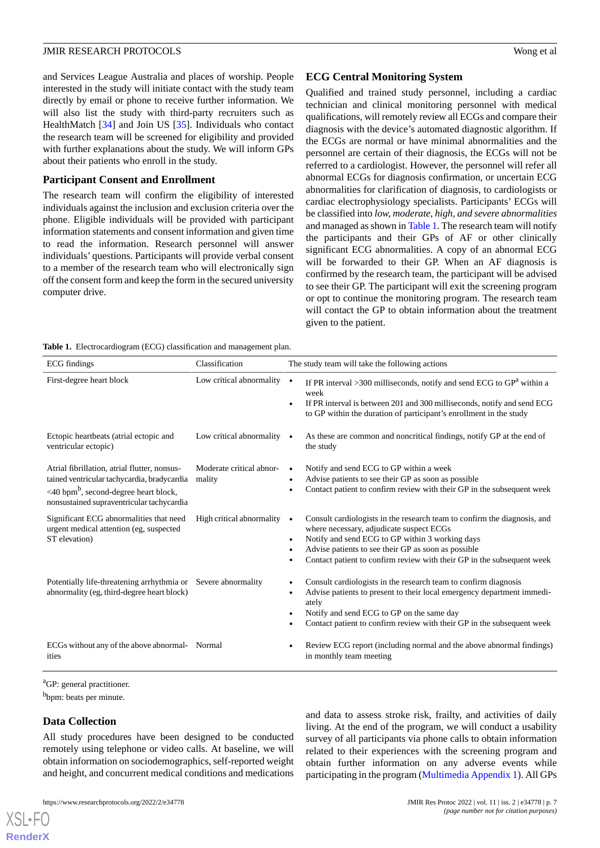and Services League Australia and places of worship. People interested in the study will initiate contact with the study team directly by email or phone to receive further information. We will also list the study with third-party recruiters such as HealthMatch [\[34](#page-13-8)] and Join US [\[35](#page-13-9)]. Individuals who contact the research team will be screened for eligibility and provided with further explanations about the study. We will inform GPs about their patients who enroll in the study.

## **Participant Consent and Enrollment**

The research team will confirm the eligibility of interested individuals against the inclusion and exclusion criteria over the phone. Eligible individuals will be provided with participant information statements and consent information and given time to read the information. Research personnel will answer individuals' questions. Participants will provide verbal consent to a member of the research team who will electronically sign off the consent form and keep the form in the secured university computer drive.

## **ECG Central Monitoring System**

Qualified and trained study personnel, including a cardiac technician and clinical monitoring personnel with medical qualifications, will remotely review all ECGs and compare their diagnosis with the device's automated diagnostic algorithm. If the ECGs are normal or have minimal abnormalities and the personnel are certain of their diagnosis, the ECGs will not be referred to a cardiologist. However, the personnel will refer all abnormal ECGs for diagnosis confirmation, or uncertain ECG abnormalities for clarification of diagnosis, to cardiologists or cardiac electrophysiology specialists. Participants' ECGs will be classified into *low, moderate, high, and severe abnormalities* and managed as shown in [Table 1.](#page-6-0) The research team will notify the participants and their GPs of AF or other clinically significant ECG abnormalities. A copy of an abnormal ECG will be forwarded to their GP. When an AF diagnosis is confirmed by the research team, the participant will be advised to see their GP. The participant will exit the screening program or opt to continue the monitoring program. The research team will contact the GP to obtain information about the treatment given to the patient.

<span id="page-6-0"></span>**Table 1.** Electrocardiogram (ECG) classification and management plan.

| <b>rapic 1.</b> Electrocardiogram (ECO) classification and management plan.<br>ECG findings    | Classification                      | The study team will take the following actions                                                                                                |  |  |
|------------------------------------------------------------------------------------------------|-------------------------------------|-----------------------------------------------------------------------------------------------------------------------------------------------|--|--|
|                                                                                                |                                     |                                                                                                                                               |  |  |
| First-degree heart block                                                                       | Low critical abnormality $\bullet$  | If PR interval >300 milliseconds, notify and send ECG to $GPa$ within a<br>week                                                               |  |  |
|                                                                                                |                                     | If PR interval is between 201 and 300 milliseconds, notify and send ECG<br>to GP within the duration of participant's enrollment in the study |  |  |
| Ectopic heartbeats (atrial ectopic and<br>ventricular ectopic)                                 | Low critical abnormality $\bullet$  | As these are common and noncritical findings, notify GP at the end of<br>the study                                                            |  |  |
| Atrial fibrillation, atrial flutter, nonsus-                                                   | Moderate critical abnor-            | Notify and send ECG to GP within a week                                                                                                       |  |  |
| tained ventricular tachycardia, bradycardia                                                    | mality                              | Advise patients to see their GP as soon as possible                                                                                           |  |  |
| <40 bpm <sup>b</sup> , second-degree heart block,<br>nonsustained supraventricular tachycardia |                                     | Contact patient to confirm review with their GP in the subsequent week                                                                        |  |  |
| Significant ECG abnormalities that need<br>urgent medical attention (eg, suspected             | High critical abnormality $\bullet$ | Consult cardiologists in the research team to confirm the diagnosis, and<br>where necessary, adjudicate suspect ECGs                          |  |  |
| ST elevation)                                                                                  |                                     | Notify and send ECG to GP within 3 working days<br>$\bullet$                                                                                  |  |  |
|                                                                                                |                                     | Advise patients to see their GP as soon as possible                                                                                           |  |  |
|                                                                                                |                                     | Contact patient to confirm review with their GP in the subsequent week                                                                        |  |  |
| Potentially life-threatening arrhythmia or Severe abnormality                                  |                                     | Consult cardiologists in the research team to confirm diagnosis                                                                               |  |  |
| abnormality (eg, third-degree heart block)                                                     |                                     | Advise patients to present to their local emergency department immedi-<br>$\bullet$<br>ately                                                  |  |  |
|                                                                                                |                                     | Notify and send ECG to GP on the same day                                                                                                     |  |  |
|                                                                                                |                                     | Contact patient to confirm review with their GP in the subsequent week                                                                        |  |  |
| ECGs without any of the above abnormal- Normal                                                 |                                     | Review ECG report (including normal and the above abnormal findings)                                                                          |  |  |
| ities                                                                                          |                                     | in monthly team meeting                                                                                                                       |  |  |

<sup>a</sup>GP: general practitioner.

<sup>b</sup>bpm: beats per minute.

## **Data Collection**

[XSL](http://www.w3.org/Style/XSL)•FO **[RenderX](http://www.renderx.com/)**

All study procedures have been designed to be conducted remotely using telephone or video calls. At baseline, we will obtain information on sociodemographics, self-reported weight and height, and concurrent medical conditions and medications

and data to assess stroke risk, frailty, and activities of daily living. At the end of the program, we will conduct a usability survey of all participants via phone calls to obtain information related to their experiences with the screening program and obtain further information on any adverse events while participating in the program ([Multimedia Appendix 1\)](#page-11-4). All GPs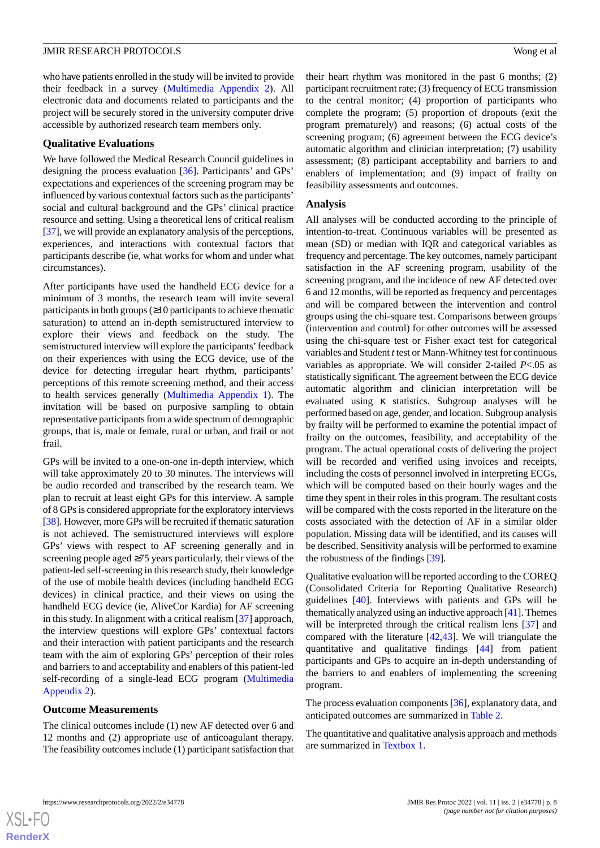who have patients enrolled in the study will be invited to provide their feedback in a survey ([Multimedia Appendix 2\)](#page-11-5). All electronic data and documents related to participants and the project will be securely stored in the university computer drive accessible by authorized research team members only.

### **Qualitative Evaluations**

We have followed the Medical Research Council guidelines in designing the process evaluation [[36\]](#page-13-10). Participants' and GPs' expectations and experiences of the screening program may be influenced by various contextual factors such as the participants' social and cultural background and the GPs' clinical practice resource and setting. Using a theoretical lens of critical realism [[37\]](#page-13-11), we will provide an explanatory analysis of the perceptions, experiences, and interactions with contextual factors that participants describe (ie, what works for whom and under what circumstances).

After participants have used the handheld ECG device for a minimum of 3 months, the research team will invite several participants in both groups  $(≥10$  participants to achieve thematic saturation) to attend an in-depth semistructured interview to explore their views and feedback on the study. The semistructured interview will explore the participants'feedback on their experiences with using the ECG device, use of the device for detecting irregular heart rhythm, participants' perceptions of this remote screening method, and their access to health services generally ([Multimedia Appendix 1\)](#page-11-4). The invitation will be based on purposive sampling to obtain representative participants from a wide spectrum of demographic groups, that is, male or female, rural or urban, and frail or not frail.

GPs will be invited to a one-on-one in-depth interview, which will take approximately 20 to 30 minutes. The interviews will be audio recorded and transcribed by the research team. We plan to recruit at least eight GPs for this interview. A sample of 8 GPs is considered appropriate for the exploratory interviews [[38\]](#page-13-12). However, more GPs will be recruited if thematic saturation is not achieved. The semistructured interviews will explore GPs' views with respect to AF screening generally and in screening people aged ≥75 years particularly, their views of the patient-led self-screening in this research study, their knowledge of the use of mobile health devices (including handheld ECG devices) in clinical practice, and their views on using the handheld ECG device (ie, AliveCor Kardia) for AF screening in this study. In alignment with a critical realism [\[37](#page-13-11)] approach, the interview questions will explore GPs' contextual factors and their interaction with patient participants and the research team with the aim of exploring GPs' perception of their roles and barriers to and acceptability and enablers of this patient-led self-recording of a single-lead ECG program ([Multimedia](#page-11-5) [Appendix 2\)](#page-11-5).

### **Outcome Measurements**

The clinical outcomes include (1) new AF detected over 6 and 12 months and (2) appropriate use of anticoagulant therapy. The feasibility outcomes include (1) participant satisfaction that their heart rhythm was monitored in the past 6 months; (2) participant recruitment rate; (3) frequency of ECG transmission to the central monitor; (4) proportion of participants who complete the program; (5) proportion of dropouts (exit the program prematurely) and reasons; (6) actual costs of the screening program; (6) agreement between the ECG device's automatic algorithm and clinician interpretation; (7) usability assessment; (8) participant acceptability and barriers to and enablers of implementation; and (9) impact of frailty on feasibility assessments and outcomes.

### **Analysis**

All analyses will be conducted according to the principle of intention-to-treat. Continuous variables will be presented as mean (SD) or median with IQR and categorical variables as frequency and percentage. The key outcomes, namely participant satisfaction in the AF screening program, usability of the screening program, and the incidence of new AF detected over 6 and 12 months, will be reported as frequency and percentages and will be compared between the intervention and control groups using the chi-square test. Comparisons between groups (intervention and control) for other outcomes will be assessed using the chi-square test or Fisher exact test for categorical variables and Student *t*test or Mann-Whitney test for continuous variables as appropriate. We will consider 2-tailed *P*<.05 as statistically significant. The agreement between the ECG device automatic algorithm and clinician interpretation will be evaluated using κ statistics. Subgroup analyses will be performed based on age, gender, and location. Subgroup analysis by frailty will be performed to examine the potential impact of frailty on the outcomes, feasibility, and acceptability of the program. The actual operational costs of delivering the project will be recorded and verified using invoices and receipts, including the costs of personnel involved in interpreting ECGs, which will be computed based on their hourly wages and the time they spent in their roles in this program. The resultant costs will be compared with the costs reported in the literature on the costs associated with the detection of AF in a similar older population. Missing data will be identified, and its causes will be described. Sensitivity analysis will be performed to examine the robustness of the findings [[39\]](#page-13-13).

Qualitative evaluation will be reported according to the COREQ (Consolidated Criteria for Reporting Qualitative Research) guidelines [\[40](#page-13-14)]. Interviews with patients and GPs will be thematically analyzed using an inductive approach [\[41\]](#page-13-15). Themes will be interpreted through the critical realism lens [\[37](#page-13-11)] and compared with the literature [[42,](#page-13-16)[43](#page-13-17)]. We will triangulate the quantitative and qualitative findings [\[44](#page-13-18)] from patient participants and GPs to acquire an in-depth understanding of the barriers to and enablers of implementing the screening program.

The process evaluation components [\[36](#page-13-10)], explanatory data, and anticipated outcomes are summarized in [Table 2.](#page-8-0)

The quantitative and qualitative analysis approach and methods are summarized in [Textbox 1.](#page-9-0)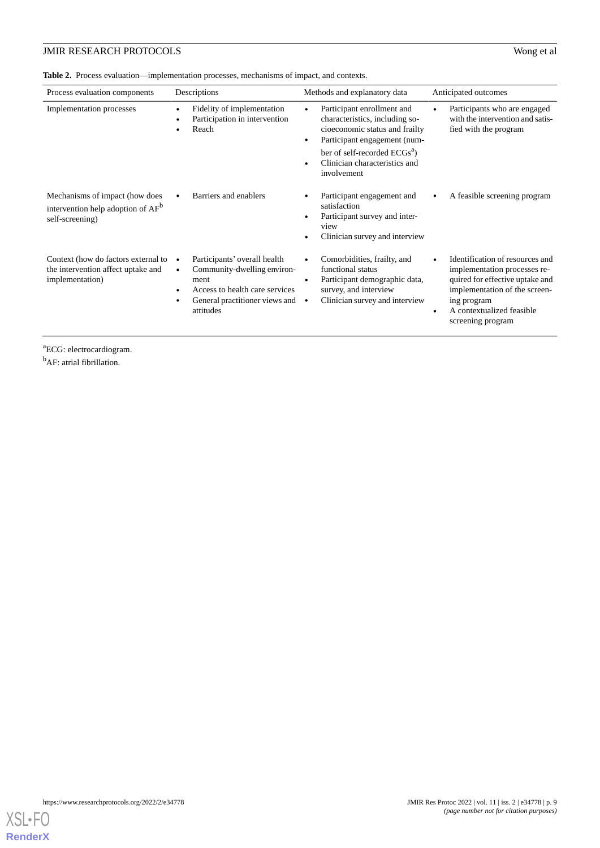<span id="page-8-0"></span>**Table 2.** Process evaluation—implementation processes, mechanisms of impact, and contexts.

| Process evaluation components                                                                      | Descriptions                                                                                                                                         | Methods and explanatory data                                                                                                                                                                                               | Anticipated outcomes                                                                                                                                                                                 |
|----------------------------------------------------------------------------------------------------|------------------------------------------------------------------------------------------------------------------------------------------------------|----------------------------------------------------------------------------------------------------------------------------------------------------------------------------------------------------------------------------|------------------------------------------------------------------------------------------------------------------------------------------------------------------------------------------------------|
| Implementation processes                                                                           | Fidelity of implementation<br>Participation in intervention<br>Reach                                                                                 | Participant enrollment and<br>characteristics, including so-<br>cioeconomic status and frailty<br>Participant engagement (num-<br>ber of self-recorded ECGs <sup>a</sup> )<br>Clinician characteristics and<br>involvement | Participants who are engaged<br>with the intervention and satis-<br>fied with the program                                                                                                            |
| Mechanisms of impact (how does<br>intervention help adoption of AF <sup>b</sup><br>self-screening) | Barriers and enablers                                                                                                                                | Participant engagement and<br>satisfaction<br>Participant survey and inter-<br>view<br>Clinician survey and interview                                                                                                      | A feasible screening program                                                                                                                                                                         |
| Context (how do factors external to<br>the intervention affect uptake and<br>implementation)       | Participants' overall health<br>Community-dwelling environ-<br>ment<br>Access to health care services<br>General practitioner views and<br>attitudes | Comorbidities, frailty, and<br>functional status<br>Participant demographic data,<br>survey, and interview<br>Clinician survey and interview                                                                               | Identification of resources and<br>implementation processes re-<br>quired for effective uptake and<br>implementation of the screen-<br>ing program<br>A contextualized feasible<br>screening program |

<sup>a</sup>ECG: electrocardiogram.

<sup>b</sup>AF: atrial fibrillation.

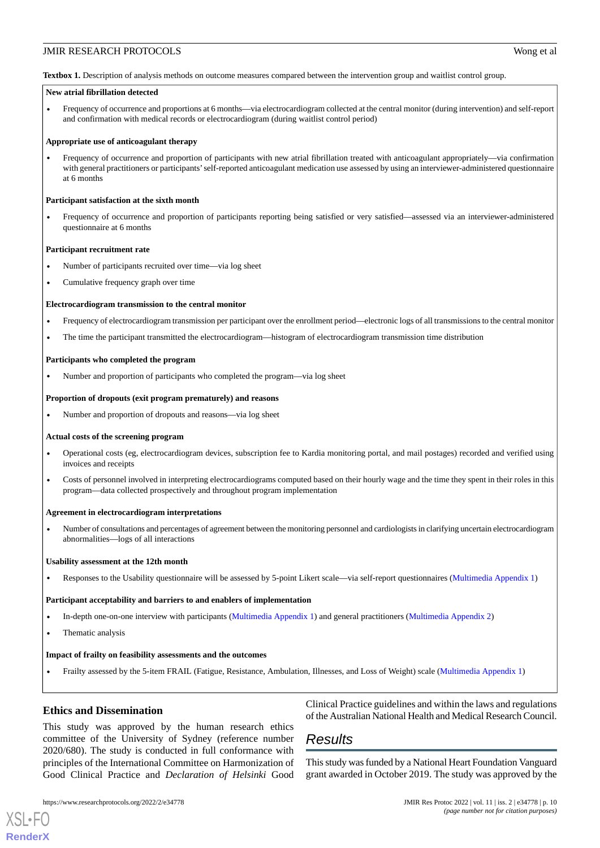<span id="page-9-0"></span>**Textbox 1.** Description of analysis methods on outcome measures compared between the intervention group and waitlist control group.

### **New atrial fibrillation detected**

• Frequency of occurrence and proportions at 6 months—via electrocardiogram collected at the central monitor (during intervention) and self-report and confirmation with medical records or electrocardiogram (during waitlist control period)

#### **Appropriate use of anticoagulant therapy**

• Frequency of occurrence and proportion of participants with new atrial fibrillation treated with anticoagulant appropriately—via confirmation with general practitioners or participants'self-reported anticoagulant medication use assessed by using an interviewer-administered questionnaire at 6 months

#### **Participant satisfaction at the sixth month**

• Frequency of occurrence and proportion of participants reporting being satisfied or very satisfied—assessed via an interviewer-administered questionnaire at 6 months

#### **Participant recruitment rate**

- Number of participants recruited over time—via log sheet
- Cumulative frequency graph over time

#### **Electrocardiogram transmission to the central monitor**

- Frequency of electrocardiogram transmission per participant over the enrollment period—electronic logs of all transmissions to the central monitor
- The time the participant transmitted the electrocardiogram—histogram of electrocardiogram transmission time distribution

#### **Participants who completed the program**

• Number and proportion of participants who completed the program—via log sheet

#### **Proportion of dropouts (exit program prematurely) and reasons**

• Number and proportion of dropouts and reasons—via log sheet

#### **Actual costs of the screening program**

- Operational costs (eg, electrocardiogram devices, subscription fee to Kardia monitoring portal, and mail postages) recorded and verified using invoices and receipts
- Costs of personnel involved in interpreting electrocardiograms computed based on their hourly wage and the time they spent in their roles in this program—data collected prospectively and throughout program implementation

#### **Agreement in electrocardiogram interpretations**

• Number of consultations and percentages of agreement between the monitoring personnel and cardiologists in clarifying uncertain electrocardiogram abnormalities—logs of all interactions

#### **Usability assessment at the 12th month**

• Responses to the Usability questionnaire will be assessed by 5-point Likert scale—via self-report questionnaires [\(Multimedia Appendix 1\)](#page-11-4)

#### **Participant acceptability and barriers to and enablers of implementation**

- In-depth one-on-one interview with participants [\(Multimedia Appendix 1\)](#page-11-4) and general practitioners ([Multimedia Appendix 2\)](#page-11-5)
- Thematic analysis

#### **Impact of frailty on feasibility assessments and the outcomes**

• Frailty assessed by the 5-item FRAIL (Fatigue, Resistance, Ambulation, Illnesses, and Loss of Weight) scale ([Multimedia Appendix 1](#page-11-4))

## **Ethics and Dissemination**

This study was approved by the human research ethics committee of the University of Sydney (reference number 2020/680). The study is conducted in full conformance with principles of the International Committee on Harmonization of Good Clinical Practice and *Declaration of Helsinki* Good

[XSL](http://www.w3.org/Style/XSL)•FO **[RenderX](http://www.renderx.com/)**

Clinical Practice guidelines and within the laws and regulations of the Australian National Health and Medical Research Council.

## *Results*

This study was funded by a National Heart Foundation Vanguard grant awarded in October 2019. The study was approved by the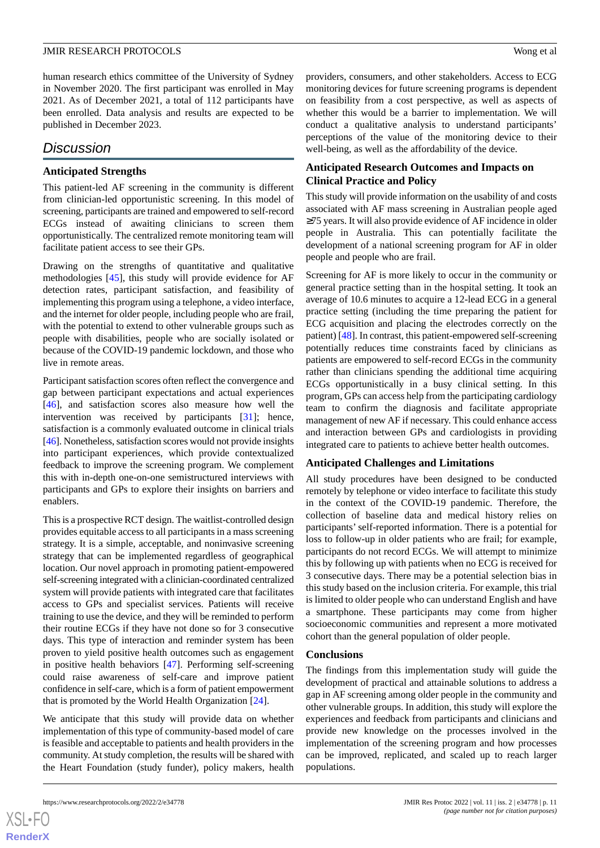human research ethics committee of the University of Sydney in November 2020. The first participant was enrolled in May 2021. As of December 2021, a total of 112 participants have been enrolled. Data analysis and results are expected to be published in December 2023.

## *Discussion*

## **Anticipated Strengths**

This patient-led AF screening in the community is different from clinician-led opportunistic screening. In this model of screening, participants are trained and empowered to self-record ECGs instead of awaiting clinicians to screen them opportunistically. The centralized remote monitoring team will facilitate patient access to see their GPs.

Drawing on the strengths of quantitative and qualitative methodologies [\[45](#page-13-19)], this study will provide evidence for AF detection rates, participant satisfaction, and feasibility of implementing this program using a telephone, a video interface, and the internet for older people, including people who are frail, with the potential to extend to other vulnerable groups such as people with disabilities, people who are socially isolated or because of the COVID-19 pandemic lockdown, and those who live in remote areas.

Participant satisfaction scores often reflect the convergence and gap between participant expectations and actual experiences [[46\]](#page-13-20), and satisfaction scores also measure how well the intervention was received by participants [\[31](#page-13-5)]; hence, satisfaction is a commonly evaluated outcome in clinical trials [[46\]](#page-13-20). Nonetheless, satisfaction scores would not provide insights into participant experiences, which provide contextualized feedback to improve the screening program. We complement this with in-depth one-on-one semistructured interviews with participants and GPs to explore their insights on barriers and enablers.

This is a prospective RCT design. The waitlist-controlled design provides equitable access to all participants in a mass screening strategy. It is a simple, acceptable, and noninvasive screening strategy that can be implemented regardless of geographical location. Our novel approach in promoting patient-empowered self-screening integrated with a clinician-coordinated centralized system will provide patients with integrated care that facilitates access to GPs and specialist services. Patients will receive training to use the device, and they will be reminded to perform their routine ECGs if they have not done so for 3 consecutive days. This type of interaction and reminder system has been proven to yield positive health outcomes such as engagement in positive health behaviors [[47\]](#page-13-21). Performing self-screening could raise awareness of self-care and improve patient confidence in self-care, which is a form of patient empowerment that is promoted by the World Health Organization [[24\]](#page-12-15).

We anticipate that this study will provide data on whether implementation of this type of community-based model of care is feasible and acceptable to patients and health providers in the community. At study completion, the results will be shared with the Heart Foundation (study funder), policy makers, health

providers, consumers, and other stakeholders. Access to ECG monitoring devices for future screening programs is dependent on feasibility from a cost perspective, as well as aspects of whether this would be a barrier to implementation. We will conduct a qualitative analysis to understand participants' perceptions of the value of the monitoring device to their well-being, as well as the affordability of the device.

## **Anticipated Research Outcomes and Impacts on Clinical Practice and Policy**

This study will provide information on the usability of and costs associated with AF mass screening in Australian people aged ≥75 years. It will also provide evidence of AF incidence in older people in Australia. This can potentially facilitate the development of a national screening program for AF in older people and people who are frail.

Screening for AF is more likely to occur in the community or general practice setting than in the hospital setting. It took an average of 10.6 minutes to acquire a 12-lead ECG in a general practice setting (including the time preparing the patient for ECG acquisition and placing the electrodes correctly on the patient) [\[48](#page-13-22)]. In contrast, this patient-empowered self-screening potentially reduces time constraints faced by clinicians as patients are empowered to self-record ECGs in the community rather than clinicians spending the additional time acquiring ECGs opportunistically in a busy clinical setting. In this program, GPs can access help from the participating cardiology team to confirm the diagnosis and facilitate appropriate management of new AF if necessary. This could enhance access and interaction between GPs and cardiologists in providing integrated care to patients to achieve better health outcomes.

## **Anticipated Challenges and Limitations**

All study procedures have been designed to be conducted remotely by telephone or video interface to facilitate this study in the context of the COVID-19 pandemic. Therefore, the collection of baseline data and medical history relies on participants'self-reported information. There is a potential for loss to follow-up in older patients who are frail; for example, participants do not record ECGs. We will attempt to minimize this by following up with patients when no ECG is received for 3 consecutive days. There may be a potential selection bias in this study based on the inclusion criteria. For example, this trial is limited to older people who can understand English and have a smartphone. These participants may come from higher socioeconomic communities and represent a more motivated cohort than the general population of older people.

## **Conclusions**

The findings from this implementation study will guide the development of practical and attainable solutions to address a gap in AF screening among older people in the community and other vulnerable groups. In addition, this study will explore the experiences and feedback from participants and clinicians and provide new knowledge on the processes involved in the implementation of the screening program and how processes can be improved, replicated, and scaled up to reach larger populations.

 $XS$  • FO **[RenderX](http://www.renderx.com/)**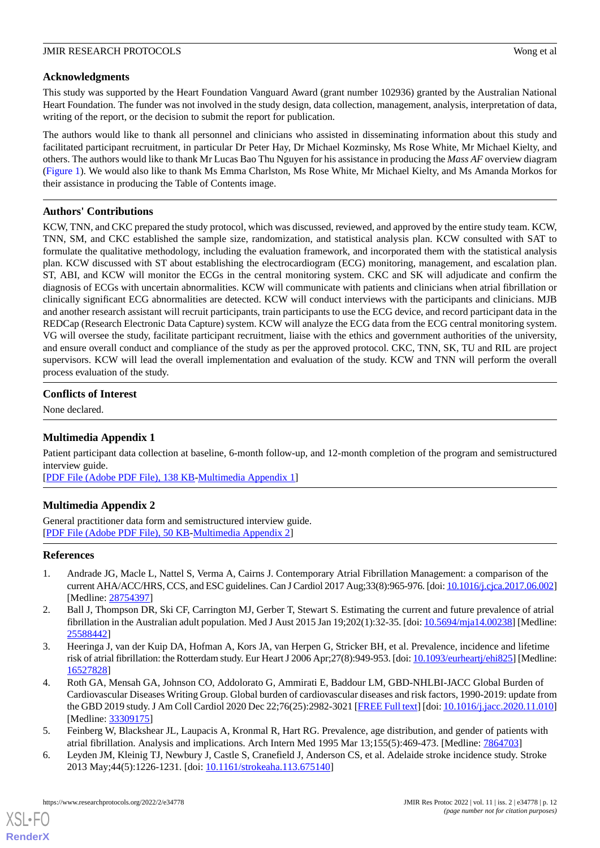## **Acknowledgments**

This study was supported by the Heart Foundation Vanguard Award (grant number 102936) granted by the Australian National Heart Foundation. The funder was not involved in the study design, data collection, management, analysis, interpretation of data, writing of the report, or the decision to submit the report for publication.

The authors would like to thank all personnel and clinicians who assisted in disseminating information about this study and facilitated participant recruitment, in particular Dr Peter Hay, Dr Michael Kozminsky, Ms Rose White, Mr Michael Kielty, and others. The authors would like to thank Mr Lucas Bao Thu Nguyen for his assistance in producing the *Mass AF* overview diagram ([Figure 1\)](#page-3-0). We would also like to thank Ms Emma Charlston, Ms Rose White, Mr Michael Kielty, and Ms Amanda Morkos for their assistance in producing the Table of Contents image.

## **Authors' Contributions**

KCW, TNN, and CKC prepared the study protocol, which was discussed, reviewed, and approved by the entire study team. KCW, TNN, SM, and CKC established the sample size, randomization, and statistical analysis plan. KCW consulted with SAT to formulate the qualitative methodology, including the evaluation framework, and incorporated them with the statistical analysis plan. KCW discussed with ST about establishing the electrocardiogram (ECG) monitoring, management, and escalation plan. ST, ABI, and KCW will monitor the ECGs in the central monitoring system. CKC and SK will adjudicate and confirm the diagnosis of ECGs with uncertain abnormalities. KCW will communicate with patients and clinicians when atrial fibrillation or clinically significant ECG abnormalities are detected. KCW will conduct interviews with the participants and clinicians. MJB and another research assistant will recruit participants, train participants to use the ECG device, and record participant data in the REDCap (Research Electronic Data Capture) system. KCW will analyze the ECG data from the ECG central monitoring system. VG will oversee the study, facilitate participant recruitment, liaise with the ethics and government authorities of the university, and ensure overall conduct and compliance of the study as per the approved protocol. CKC, TNN, SK, TU and RIL are project supervisors. KCW will lead the overall implementation and evaluation of the study. KCW and TNN will perform the overall process evaluation of the study.

## <span id="page-11-4"></span>**Conflicts of Interest**

None declared.

## **Multimedia Appendix 1**

<span id="page-11-5"></span>Patient participant data collection at baseline, 6-month follow-up, and 12-month completion of the program and semistructured interview guide.

[[PDF File \(Adobe PDF File\), 138 KB](https://jmir.org/api/download?alt_name=resprot_v11i2e34778_app1.pdf&filename=06b0adb9dacd2f9464ed981daff16d48.pdf)-[Multimedia Appendix 1\]](https://jmir.org/api/download?alt_name=resprot_v11i2e34778_app1.pdf&filename=06b0adb9dacd2f9464ed981daff16d48.pdf)

## **Multimedia Appendix 2**

<span id="page-11-0"></span>General practitioner data form and semistructured interview guide. [[PDF File \(Adobe PDF File\), 50 KB](https://jmir.org/api/download?alt_name=resprot_v11i2e34778_app2.pdf&filename=e7b9f8cb2ee625f073353c9749119a16.pdf)-[Multimedia Appendix 2\]](https://jmir.org/api/download?alt_name=resprot_v11i2e34778_app2.pdf&filename=e7b9f8cb2ee625f073353c9749119a16.pdf)

## **References**

- 1. Andrade JG, Macle L, Nattel S, Verma A, Cairns J. Contemporary Atrial Fibrillation Management: a comparison of the current AHA/ACC/HRS, CCS, and ESC guidelines. Can J Cardiol 2017 Aug;33(8):965-976. [doi: [10.1016/j.cjca.2017.06.002\]](http://dx.doi.org/10.1016/j.cjca.2017.06.002) [Medline: [28754397](http://www.ncbi.nlm.nih.gov/entrez/query.fcgi?cmd=Retrieve&db=PubMed&list_uids=28754397&dopt=Abstract)]
- <span id="page-11-1"></span>2. Ball J, Thompson DR, Ski CF, Carrington MJ, Gerber T, Stewart S. Estimating the current and future prevalence of atrial fibrillation in the Australian adult population. Med J Aust 2015 Jan 19;202(1):32-35. [doi: [10.5694/mja14.00238](http://dx.doi.org/10.5694/mja14.00238)] [Medline: [25588442](http://www.ncbi.nlm.nih.gov/entrez/query.fcgi?cmd=Retrieve&db=PubMed&list_uids=25588442&dopt=Abstract)]
- <span id="page-11-2"></span>3. Heeringa J, van der Kuip DA, Hofman A, Kors JA, van Herpen G, Stricker BH, et al. Prevalence, incidence and lifetime risk of atrial fibrillation: the Rotterdam study. Eur Heart J 2006 Apr; 27(8): 949-953. [doi: [10.1093/eurheartj/ehi825\]](http://dx.doi.org/10.1093/eurheartj/ehi825) [Medline: [16527828](http://www.ncbi.nlm.nih.gov/entrez/query.fcgi?cmd=Retrieve&db=PubMed&list_uids=16527828&dopt=Abstract)]
- <span id="page-11-3"></span>4. Roth GA, Mensah GA, Johnson CO, Addolorato G, Ammirati E, Baddour LM, GBD-NHLBI-JACC Global Burden of Cardiovascular Diseases Writing Group. Global burden of cardiovascular diseases and risk factors, 1990-2019: update from the GBD 2019 study. J Am Coll Cardiol 2020 Dec 22;76(25):2982-3021 [\[FREE Full text](https://linkinghub.elsevier.com/retrieve/pii/S0735-1097(20)37775-5)] [doi: [10.1016/j.jacc.2020.11.010](http://dx.doi.org/10.1016/j.jacc.2020.11.010)] [Medline: [33309175](http://www.ncbi.nlm.nih.gov/entrez/query.fcgi?cmd=Retrieve&db=PubMed&list_uids=33309175&dopt=Abstract)]
- 5. Feinberg W, Blackshear JL, Laupacis A, Kronmal R, Hart RG. Prevalence, age distribution, and gender of patients with atrial fibrillation. Analysis and implications. Arch Intern Med 1995 Mar 13;155(5):469-473. [Medline: [7864703\]](http://www.ncbi.nlm.nih.gov/entrez/query.fcgi?cmd=Retrieve&db=PubMed&list_uids=7864703&dopt=Abstract)
- 6. Leyden JM, Kleinig TJ, Newbury J, Castle S, Cranefield J, Anderson CS, et al. Adelaide stroke incidence study. Stroke 2013 May;44(5):1226-1231. [doi: [10.1161/strokeaha.113.675140\]](http://dx.doi.org/10.1161/strokeaha.113.675140)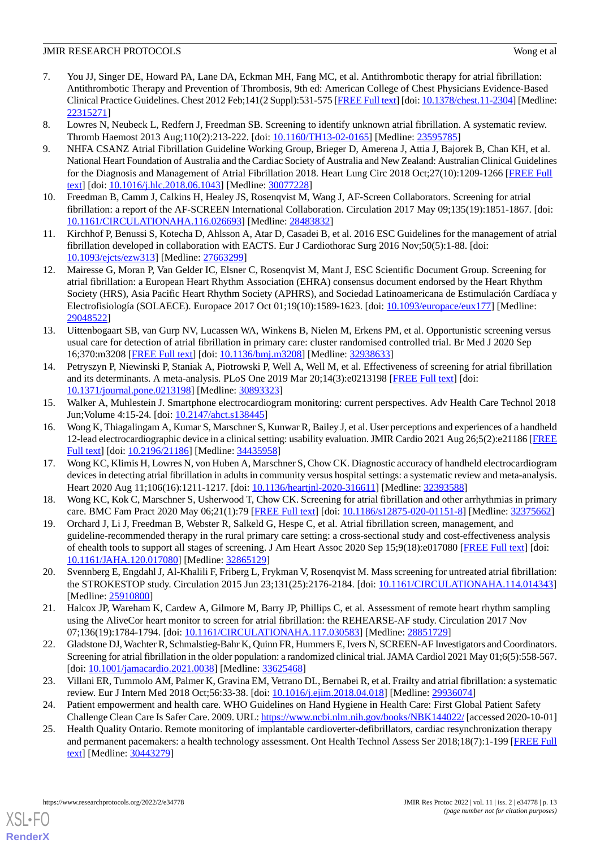- <span id="page-12-0"></span>7. You JJ, Singer DE, Howard PA, Lane DA, Eckman MH, Fang MC, et al. Antithrombotic therapy for atrial fibrillation: Antithrombotic Therapy and Prevention of Thrombosis, 9th ed: American College of Chest Physicians Evidence-Based Clinical Practice Guidelines. Chest 2012 Feb;141(2 Suppl):531-575 [\[FREE Full text](http://europepmc.org/abstract/MED/22315271)] [doi: [10.1378/chest.11-2304\]](http://dx.doi.org/10.1378/chest.11-2304) [Medline: [22315271](http://www.ncbi.nlm.nih.gov/entrez/query.fcgi?cmd=Retrieve&db=PubMed&list_uids=22315271&dopt=Abstract)]
- <span id="page-12-2"></span><span id="page-12-1"></span>8. Lowres N, Neubeck L, Redfern J, Freedman SB. Screening to identify unknown atrial fibrillation. A systematic review. Thromb Haemost 2013 Aug;110(2):213-222. [doi: [10.1160/TH13-02-0165](http://dx.doi.org/10.1160/TH13-02-0165)] [Medline: [23595785\]](http://www.ncbi.nlm.nih.gov/entrez/query.fcgi?cmd=Retrieve&db=PubMed&list_uids=23595785&dopt=Abstract)
- 9. NHFA CSANZ Atrial Fibrillation Guideline Working Group, Brieger D, Amerena J, Attia J, Bajorek B, Chan KH, et al. National Heart Foundation of Australia and the Cardiac Society of Australia and New Zealand: Australian Clinical Guidelines for the Diagnosis and Management of Atrial Fibrillation 2018. Heart Lung Circ 2018 Oct;27(10):1209-1266 [\[FREE Full](https://linkinghub.elsevier.com/retrieve/pii/S1443-9506(18)31778-5) [text](https://linkinghub.elsevier.com/retrieve/pii/S1443-9506(18)31778-5)] [doi: [10.1016/j.hlc.2018.06.1043\]](http://dx.doi.org/10.1016/j.hlc.2018.06.1043) [Medline: [30077228\]](http://www.ncbi.nlm.nih.gov/entrez/query.fcgi?cmd=Retrieve&db=PubMed&list_uids=30077228&dopt=Abstract)
- 10. Freedman B, Camm J, Calkins H, Healey JS, Rosenqvist M, Wang J, AF-Screen Collaborators. Screening for atrial fibrillation: a report of the AF-SCREEN International Collaboration. Circulation 2017 May 09;135(19):1851-1867. [doi: [10.1161/CIRCULATIONAHA.116.026693\]](http://dx.doi.org/10.1161/CIRCULATIONAHA.116.026693) [Medline: [28483832\]](http://www.ncbi.nlm.nih.gov/entrez/query.fcgi?cmd=Retrieve&db=PubMed&list_uids=28483832&dopt=Abstract)
- <span id="page-12-3"></span>11. Kirchhof P, Benussi S, Kotecha D, Ahlsson A, Atar D, Casadei B, et al. 2016 ESC Guidelines for the management of atrial fibrillation developed in collaboration with EACTS. Eur J Cardiothorac Surg 2016 Nov;50(5):1-88. [doi: [10.1093/ejcts/ezw313](http://dx.doi.org/10.1093/ejcts/ezw313)] [Medline: [27663299\]](http://www.ncbi.nlm.nih.gov/entrez/query.fcgi?cmd=Retrieve&db=PubMed&list_uids=27663299&dopt=Abstract)
- <span id="page-12-4"></span>12. Mairesse G, Moran P, Van Gelder IC, Elsner C, Rosenqvist M, Mant J, ESC Scientific Document Group. Screening for atrial fibrillation: a European Heart Rhythm Association (EHRA) consensus document endorsed by the Heart Rhythm Society (HRS), Asia Pacific Heart Rhythm Society (APHRS), and Sociedad Latinoamericana de Estimulación Cardíaca y Electrofisiología (SOLAECE). Europace 2017 Oct 01;19(10):1589-1623. [doi: [10.1093/europace/eux177](http://dx.doi.org/10.1093/europace/eux177)] [Medline: [29048522](http://www.ncbi.nlm.nih.gov/entrez/query.fcgi?cmd=Retrieve&db=PubMed&list_uids=29048522&dopt=Abstract)]
- <span id="page-12-5"></span>13. Uittenbogaart SB, van Gurp NV, Lucassen WA, Winkens B, Nielen M, Erkens PM, et al. Opportunistic screening versus usual care for detection of atrial fibrillation in primary care: cluster randomised controlled trial. Br Med J 2020 Sep 16;370:m3208 [[FREE Full text](http://www.bmj.com/lookup/pmidlookup?view=long&pmid=32938633)] [doi: [10.1136/bmj.m3208\]](http://dx.doi.org/10.1136/bmj.m3208) [Medline: [32938633](http://www.ncbi.nlm.nih.gov/entrez/query.fcgi?cmd=Retrieve&db=PubMed&list_uids=32938633&dopt=Abstract)]
- <span id="page-12-6"></span>14. Petryszyn P, Niewinski P, Staniak A, Piotrowski P, Well A, Well M, et al. Effectiveness of screening for atrial fibrillation and its determinants. A meta-analysis. PLoS One 2019 Mar 20;14(3):e0213198 [[FREE Full text](https://dx.plos.org/10.1371/journal.pone.0213198)] [doi: [10.1371/journal.pone.0213198\]](http://dx.doi.org/10.1371/journal.pone.0213198) [Medline: [30893323](http://www.ncbi.nlm.nih.gov/entrez/query.fcgi?cmd=Retrieve&db=PubMed&list_uids=30893323&dopt=Abstract)]
- <span id="page-12-7"></span>15. Walker A, Muhlestein J. Smartphone electrocardiogram monitoring: current perspectives. Adv Health Care Technol 2018 Jun;Volume 4:15-24. [doi: [10.2147/ahct.s138445](http://dx.doi.org/10.2147/ahct.s138445)]
- <span id="page-12-8"></span>16. Wong K, Thiagalingam A, Kumar S, Marschner S, Kunwar R, Bailey J, et al. User perceptions and experiences of a handheld 12-lead electrocardiographic device in a clinical setting: usability evaluation. JMIR Cardio 2021 Aug 26;5(2):e21186 [[FREE](https://cardio.jmir.org/2021/2/e21186/) [Full text\]](https://cardio.jmir.org/2021/2/e21186/) [doi: [10.2196/21186\]](http://dx.doi.org/10.2196/21186) [Medline: [34435958](http://www.ncbi.nlm.nih.gov/entrez/query.fcgi?cmd=Retrieve&db=PubMed&list_uids=34435958&dopt=Abstract)]
- <span id="page-12-10"></span><span id="page-12-9"></span>17. Wong KC, Klimis H, Lowres N, von Huben A, Marschner S, Chow CK. Diagnostic accuracy of handheld electrocardiogram devices in detecting atrial fibrillation in adults in community versus hospital settings: a systematic review and meta-analysis. Heart 2020 Aug 11;106(16):1211-1217. [doi: [10.1136/heartjnl-2020-316611\]](http://dx.doi.org/10.1136/heartjnl-2020-316611) [Medline: [32393588\]](http://www.ncbi.nlm.nih.gov/entrez/query.fcgi?cmd=Retrieve&db=PubMed&list_uids=32393588&dopt=Abstract)
- 18. Wong KC, Kok C, Marschner S, Usherwood T, Chow CK. Screening for atrial fibrillation and other arrhythmias in primary care. BMC Fam Pract 2020 May 06;21(1):79 [\[FREE Full text\]](https://bmcfampract.biomedcentral.com/articles/10.1186/s12875-020-01151-8) [doi: [10.1186/s12875-020-01151-8](http://dx.doi.org/10.1186/s12875-020-01151-8)] [Medline: [32375662](http://www.ncbi.nlm.nih.gov/entrez/query.fcgi?cmd=Retrieve&db=PubMed&list_uids=32375662&dopt=Abstract)]
- <span id="page-12-11"></span>19. Orchard J, Li J, Freedman B, Webster R, Salkeld G, Hespe C, et al. Atrial fibrillation screen, management, and guideline-recommended therapy in the rural primary care setting: a cross-sectional study and cost-effectiveness analysis of ehealth tools to support all stages of screening. J Am Heart Assoc 2020 Sep 15;9(18):e017080 [\[FREE Full text](https://www.ahajournals.org/doi/10.1161/JAHA.120.017080?url_ver=Z39.88-2003&rfr_id=ori:rid:crossref.org&rfr_dat=cr_pub%3dpubmed)] [doi: [10.1161/JAHA.120.017080\]](http://dx.doi.org/10.1161/JAHA.120.017080) [Medline: [32865129](http://www.ncbi.nlm.nih.gov/entrez/query.fcgi?cmd=Retrieve&db=PubMed&list_uids=32865129&dopt=Abstract)]
- <span id="page-12-13"></span><span id="page-12-12"></span>20. Svennberg E, Engdahl J, Al-Khalili F, Friberg L, Frykman V, Rosenqvist M. Mass screening for untreated atrial fibrillation: the STROKESTOP study. Circulation 2015 Jun 23;131(25):2176-2184. [doi: [10.1161/CIRCULATIONAHA.114.014343](http://dx.doi.org/10.1161/CIRCULATIONAHA.114.014343)] [Medline: [25910800](http://www.ncbi.nlm.nih.gov/entrez/query.fcgi?cmd=Retrieve&db=PubMed&list_uids=25910800&dopt=Abstract)]
- <span id="page-12-14"></span>21. Halcox JP, Wareham K, Cardew A, Gilmore M, Barry JP, Phillips C, et al. Assessment of remote heart rhythm sampling using the AliveCor heart monitor to screen for atrial fibrillation: the REHEARSE-AF study. Circulation 2017 Nov 07;136(19):1784-1794. [doi: [10.1161/CIRCULATIONAHA.117.030583\]](http://dx.doi.org/10.1161/CIRCULATIONAHA.117.030583) [Medline: [28851729](http://www.ncbi.nlm.nih.gov/entrez/query.fcgi?cmd=Retrieve&db=PubMed&list_uids=28851729&dopt=Abstract)]
- <span id="page-12-16"></span><span id="page-12-15"></span>22. Gladstone DJ, Wachter R, Schmalstieg-Bahr K, Quinn FR, Hummers E, Ivers N, SCREEN-AF Investigators and Coordinators. Screening for atrial fibrillation in the older population: a randomized clinical trial. JAMA Cardiol 2021 May 01;6(5):558-567. [doi: [10.1001/jamacardio.2021.0038\]](http://dx.doi.org/10.1001/jamacardio.2021.0038) [Medline: [33625468](http://www.ncbi.nlm.nih.gov/entrez/query.fcgi?cmd=Retrieve&db=PubMed&list_uids=33625468&dopt=Abstract)]
- 23. Villani ER, Tummolo AM, Palmer K, Gravina EM, Vetrano DL, Bernabei R, et al. Frailty and atrial fibrillation: a systematic review. Eur J Intern Med 2018 Oct;56:33-38. [doi: [10.1016/j.ejim.2018.04.018](http://dx.doi.org/10.1016/j.ejim.2018.04.018)] [Medline: [29936074\]](http://www.ncbi.nlm.nih.gov/entrez/query.fcgi?cmd=Retrieve&db=PubMed&list_uids=29936074&dopt=Abstract)
- 24. Patient empowerment and health care. WHO Guidelines on Hand Hygiene in Health Care: First Global Patient Safety Challenge Clean Care Is Safer Care. 2009. URL:<https://www.ncbi.nlm.nih.gov/books/NBK144022/> [accessed 2020-10-01]
- 25. Health Quality Ontario. Remote monitoring of implantable cardioverter-defibrillators, cardiac resynchronization therapy and permanent pacemakers: a health technology assessment. Ont Health Technol Assess Ser 2018;18(7):1-199 [[FREE Full](http://europepmc.org/abstract/MED/30443279) [text](http://europepmc.org/abstract/MED/30443279)] [Medline: [30443279](http://www.ncbi.nlm.nih.gov/entrez/query.fcgi?cmd=Retrieve&db=PubMed&list_uids=30443279&dopt=Abstract)]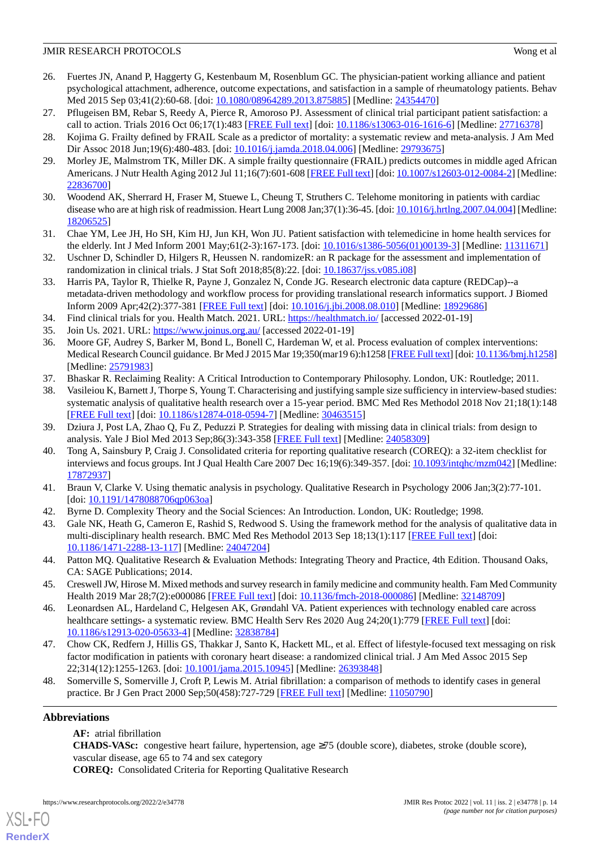- <span id="page-13-0"></span>26. Fuertes JN, Anand P, Haggerty G, Kestenbaum M, Rosenblum GC. The physician-patient working alliance and patient psychological attachment, adherence, outcome expectations, and satisfaction in a sample of rheumatology patients. Behav Med 2015 Sep 03;41(2):60-68. [doi: [10.1080/08964289.2013.875885\]](http://dx.doi.org/10.1080/08964289.2013.875885) [Medline: [24354470](http://www.ncbi.nlm.nih.gov/entrez/query.fcgi?cmd=Retrieve&db=PubMed&list_uids=24354470&dopt=Abstract)]
- <span id="page-13-2"></span><span id="page-13-1"></span>27. Pflugeisen BM, Rebar S, Reedy A, Pierce R, Amoroso PJ. Assessment of clinical trial participant patient satisfaction: a call to action. Trials 2016 Oct 06;17(1):483 [\[FREE Full text\]](https://trialsjournal.biomedcentral.com/articles/10.1186/s13063-016-1616-6) [doi: [10.1186/s13063-016-1616-6\]](http://dx.doi.org/10.1186/s13063-016-1616-6) [Medline: [27716378\]](http://www.ncbi.nlm.nih.gov/entrez/query.fcgi?cmd=Retrieve&db=PubMed&list_uids=27716378&dopt=Abstract)
- <span id="page-13-3"></span>28. Kojima G. Frailty defined by FRAIL Scale as a predictor of mortality: a systematic review and meta-analysis. J Am Med Dir Assoc 2018 Jun;19(6):480-483. [doi: [10.1016/j.jamda.2018.04.006](http://dx.doi.org/10.1016/j.jamda.2018.04.006)] [Medline: [29793675\]](http://www.ncbi.nlm.nih.gov/entrez/query.fcgi?cmd=Retrieve&db=PubMed&list_uids=29793675&dopt=Abstract)
- <span id="page-13-4"></span>29. Morley JE, Malmstrom TK, Miller DK. A simple frailty questionnaire (FRAIL) predicts outcomes in middle aged African Americans. J Nutr Health Aging 2012 Jul 11;16(7):601-608 [\[FREE Full text\]](http://europepmc.org/abstract/MED/22836700) [doi: [10.1007/s12603-012-0084-2\]](http://dx.doi.org/10.1007/s12603-012-0084-2) [Medline: [22836700](http://www.ncbi.nlm.nih.gov/entrez/query.fcgi?cmd=Retrieve&db=PubMed&list_uids=22836700&dopt=Abstract)]
- <span id="page-13-5"></span>30. Woodend AK, Sherrard H, Fraser M, Stuewe L, Cheung T, Struthers C. Telehome monitoring in patients with cardiac disease who are at high risk of readmission. Heart Lung 2008 Jan;37(1):36-45. [doi: [10.1016/j.hrtlng.2007.04.004\]](http://dx.doi.org/10.1016/j.hrtlng.2007.04.004) [Medline: [18206525](http://www.ncbi.nlm.nih.gov/entrez/query.fcgi?cmd=Retrieve&db=PubMed&list_uids=18206525&dopt=Abstract)]
- <span id="page-13-6"></span>31. Chae YM, Lee JH, Ho SH, Kim HJ, Jun KH, Won JU. Patient satisfaction with telemedicine in home health services for the elderly. Int J Med Inform 2001 May;61(2-3):167-173. [doi: [10.1016/s1386-5056\(01\)00139-3](http://dx.doi.org/10.1016/s1386-5056(01)00139-3)] [Medline: [11311671\]](http://www.ncbi.nlm.nih.gov/entrez/query.fcgi?cmd=Retrieve&db=PubMed&list_uids=11311671&dopt=Abstract)
- <span id="page-13-7"></span>32. Uschner D, Schindler D, Hilgers R, Heussen N. randomizeR: an R package for the assessment and implementation of randomization in clinical trials. J Stat Soft 2018;85(8):22. [doi: [10.18637/jss.v085.i08\]](http://dx.doi.org/10.18637/jss.v085.i08)
- <span id="page-13-9"></span><span id="page-13-8"></span>33. Harris PA, Taylor R, Thielke R, Payne J, Gonzalez N, Conde JG. Research electronic data capture (REDCap)--a metadata-driven methodology and workflow process for providing translational research informatics support. J Biomed Inform 2009 Apr;42(2):377-381 [\[FREE Full text\]](https://linkinghub.elsevier.com/retrieve/pii/S1532-0464(08)00122-6) [doi: [10.1016/j.jbi.2008.08.010](http://dx.doi.org/10.1016/j.jbi.2008.08.010)] [Medline: [18929686](http://www.ncbi.nlm.nih.gov/entrez/query.fcgi?cmd=Retrieve&db=PubMed&list_uids=18929686&dopt=Abstract)]
- <span id="page-13-10"></span>34. Find clinical trials for you. Health Match. 2021. URL: <https://healthmatch.io/> [accessed 2022-01-19]
- 35. Join Us. 2021. URL:<https://www.joinus.org.au/> [accessed 2022-01-19]
- <span id="page-13-12"></span><span id="page-13-11"></span>36. Moore GF, Audrey S, Barker M, Bond L, Bonell C, Hardeman W, et al. Process evaluation of complex interventions: Medical Research Council guidance. Br Med J 2015 Mar 19;350(mar19 6):h1258 [\[FREE Full text\]](http://www.bmj.com/lookup/pmidlookup?view=long&pmid=25791983) [doi: [10.1136/bmj.h1258\]](http://dx.doi.org/10.1136/bmj.h1258) [Medline: [25791983](http://www.ncbi.nlm.nih.gov/entrez/query.fcgi?cmd=Retrieve&db=PubMed&list_uids=25791983&dopt=Abstract)]
- 37. Bhaskar R. Reclaiming Reality: A Critical Introduction to Contemporary Philosophy. London, UK: Routledge; 2011.
- <span id="page-13-14"></span><span id="page-13-13"></span>38. Vasileiou K, Barnett J, Thorpe S, Young T. Characterising and justifying sample size sufficiency in interview-based studies: systematic analysis of qualitative health research over a 15-year period. BMC Med Res Methodol 2018 Nov 21;18(1):148 [[FREE Full text](https://bmcmedresmethodol.biomedcentral.com/articles/10.1186/s12874-018-0594-7)] [doi: [10.1186/s12874-018-0594-7\]](http://dx.doi.org/10.1186/s12874-018-0594-7) [Medline: [30463515](http://www.ncbi.nlm.nih.gov/entrez/query.fcgi?cmd=Retrieve&db=PubMed&list_uids=30463515&dopt=Abstract)]
- <span id="page-13-15"></span>39. Dziura J, Post LA, Zhao Q, Fu Z, Peduzzi P. Strategies for dealing with missing data in clinical trials: from design to analysis. Yale J Biol Med 2013 Sep;86(3):343-358 [[FREE Full text](http://europepmc.org/abstract/MED/24058309)] [Medline: [24058309](http://www.ncbi.nlm.nih.gov/entrez/query.fcgi?cmd=Retrieve&db=PubMed&list_uids=24058309&dopt=Abstract)]
- <span id="page-13-16"></span>40. Tong A, Sainsbury P, Craig J. Consolidated criteria for reporting qualitative research (COREQ): a 32-item checklist for interviews and focus groups. Int J Qual Health Care 2007 Dec 16;19(6):349-357. [doi: [10.1093/intqhc/mzm042\]](http://dx.doi.org/10.1093/intqhc/mzm042) [Medline: [17872937](http://www.ncbi.nlm.nih.gov/entrez/query.fcgi?cmd=Retrieve&db=PubMed&list_uids=17872937&dopt=Abstract)]
- <span id="page-13-17"></span>41. Braun V, Clarke V. Using thematic analysis in psychology. Qualitative Research in Psychology 2006 Jan;3(2):77-101. [doi: [10.1191/1478088706qp063oa\]](http://dx.doi.org/10.1191/1478088706qp063oa)
- <span id="page-13-18"></span>42. Byrne D. Complexity Theory and the Social Sciences: An Introduction. London, UK: Routledge; 1998.
- <span id="page-13-19"></span>43. Gale NK, Heath G, Cameron E, Rashid S, Redwood S. Using the framework method for the analysis of qualitative data in multi-disciplinary health research. BMC Med Res Methodol 2013 Sep 18;13(1):117 [\[FREE Full text\]](https://bmcmedresmethodol.biomedcentral.com/articles/10.1186/1471-2288-13-117) [doi: [10.1186/1471-2288-13-117\]](http://dx.doi.org/10.1186/1471-2288-13-117) [Medline: [24047204\]](http://www.ncbi.nlm.nih.gov/entrez/query.fcgi?cmd=Retrieve&db=PubMed&list_uids=24047204&dopt=Abstract)
- <span id="page-13-20"></span>44. Patton MQ. Qualitative Research & Evaluation Methods: Integrating Theory and Practice, 4th Edition. Thousand Oaks, CA: SAGE Publications; 2014.
- <span id="page-13-21"></span>45. Creswell JW, Hirose M. Mixed methods and survey research in family medicine and community health. Fam Med Community Health 2019 Mar 28;7(2):e000086 [[FREE Full text](https://fmch.bmj.com/lookup/pmidlookup?view=long&pmid=32148709)] [doi: [10.1136/fmch-2018-000086\]](http://dx.doi.org/10.1136/fmch-2018-000086) [Medline: [32148709\]](http://www.ncbi.nlm.nih.gov/entrez/query.fcgi?cmd=Retrieve&db=PubMed&list_uids=32148709&dopt=Abstract)
- <span id="page-13-22"></span>46. Leonardsen AL, Hardeland C, Helgesen AK, Grøndahl VA. Patient experiences with technology enabled care across healthcare settings- a systematic review. BMC Health Serv Res 2020 Aug 24;20(1):779 [[FREE Full text](https://bmchealthservres.biomedcentral.com/articles/10.1186/s12913-020-05633-4)] [doi: [10.1186/s12913-020-05633-4\]](http://dx.doi.org/10.1186/s12913-020-05633-4) [Medline: [32838784\]](http://www.ncbi.nlm.nih.gov/entrez/query.fcgi?cmd=Retrieve&db=PubMed&list_uids=32838784&dopt=Abstract)
- 47. Chow CK, Redfern J, Hillis GS, Thakkar J, Santo K, Hackett ML, et al. Effect of lifestyle-focused text messaging on risk factor modification in patients with coronary heart disease: a randomized clinical trial. J Am Med Assoc 2015 Sep 22;314(12):1255-1263. [doi: [10.1001/jama.2015.10945](http://dx.doi.org/10.1001/jama.2015.10945)] [Medline: [26393848\]](http://www.ncbi.nlm.nih.gov/entrez/query.fcgi?cmd=Retrieve&db=PubMed&list_uids=26393848&dopt=Abstract)
- 48. Somerville S, Somerville J, Croft P, Lewis M. Atrial fibrillation: a comparison of methods to identify cases in general practice. Br J Gen Pract 2000 Sep;50(458):727-729 [\[FREE Full text\]](https://bjgp.org/cgi/pmidlookup?view=long&pmid=11050790) [Medline: [11050790](http://www.ncbi.nlm.nih.gov/entrez/query.fcgi?cmd=Retrieve&db=PubMed&list_uids=11050790&dopt=Abstract)]

## **Abbreviations**

[XSL](http://www.w3.org/Style/XSL)•FO **[RenderX](http://www.renderx.com/)**

**AF:** atrial fibrillation

**CHADS-VASc:** congestive heart failure, hypertension, age ≥75 (double score), diabetes, stroke (double score), vascular disease, age 65 to 74 and sex category

**COREQ:** Consolidated Criteria for Reporting Qualitative Research